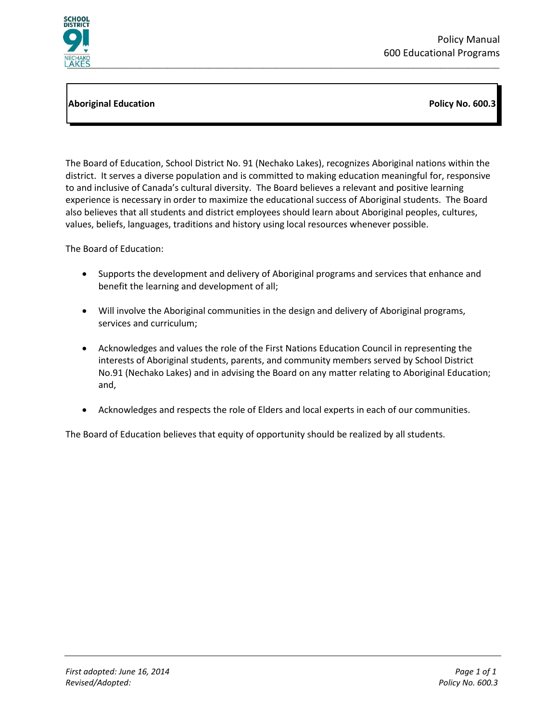

## **Aboriginal Education Policy No. 600.3**

The Board of Education, School District No. 91 (Nechako Lakes), recognizes Aboriginal nations within the district. It serves a diverse population and is committed to making education meaningful for, responsive to and inclusive of Canada's cultural diversity. The Board believes a relevant and positive learning experience is necessary in order to maximize the educational success of Aboriginal students. The Board also believes that all students and district employees should learn about Aboriginal peoples, cultures, values, beliefs, languages, traditions and history using local resources whenever possible.

The Board of Education:

- Supports the development and delivery of Aboriginal programs and services that enhance and benefit the learning and development of all;
- Will involve the Aboriginal communities in the design and delivery of Aboriginal programs, services and curriculum;
- Acknowledges and values the role of the First Nations Education Council in representing the interests of Aboriginal students, parents, and community members served by School District No.91 (Nechako Lakes) and in advising the Board on any matter relating to Aboriginal Education; and,
- Acknowledges and respects the role of Elders and local experts in each of our communities.

The Board of Education believes that equity of opportunity should be realized by all students.